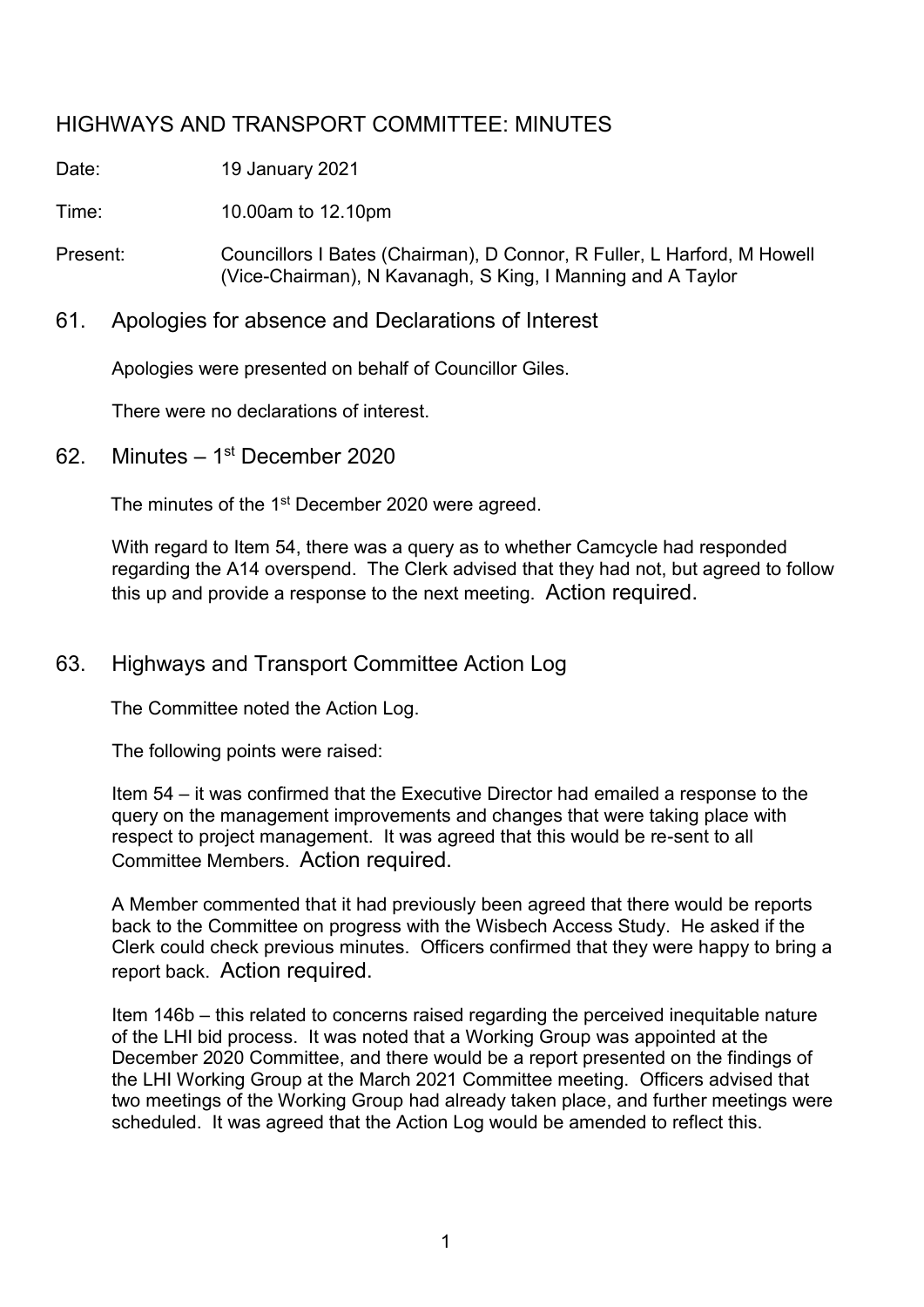# HIGHWAYS AND TRANSPORT COMMITTEE: MINUTES

Date: 19 January 2021

Time: 10.00am to 12.10pm

Present: Councillors I Bates (Chairman), D Connor, R Fuller, L Harford, M Howell (Vice-Chairman), N Kavanagh, S King, I Manning and A Taylor

61. Apologies for absence and Declarations of Interest

Apologies were presented on behalf of Councillor Giles.

There were no declarations of interest.

62. Minutes –  $1<sup>st</sup>$  December 2020

The minutes of the 1<sup>st</sup> December 2020 were agreed.

With regard to Item 54, there was a query as to whether Camcycle had responded regarding the A14 overspend. The Clerk advised that they had not, but agreed to follow this up and provide a response to the next meeting. Action required.

# 63. Highways and Transport Committee Action Log

The Committee noted the Action Log.

The following points were raised:

Item 54 – it was confirmed that the Executive Director had emailed a response to the query on the management improvements and changes that were taking place with respect to project management. It was agreed that this would be re-sent to all Committee Members. Action required.

A Member commented that it had previously been agreed that there would be reports back to the Committee on progress with the Wisbech Access Study. He asked if the Clerk could check previous minutes. Officers confirmed that they were happy to bring a report back. Action required.

Item 146b – this related to concerns raised regarding the perceived inequitable nature of the LHI bid process. It was noted that a Working Group was appointed at the December 2020 Committee, and there would be a report presented on the findings of the LHI Working Group at the March 2021 Committee meeting. Officers advised that two meetings of the Working Group had already taken place, and further meetings were scheduled. It was agreed that the Action Log would be amended to reflect this.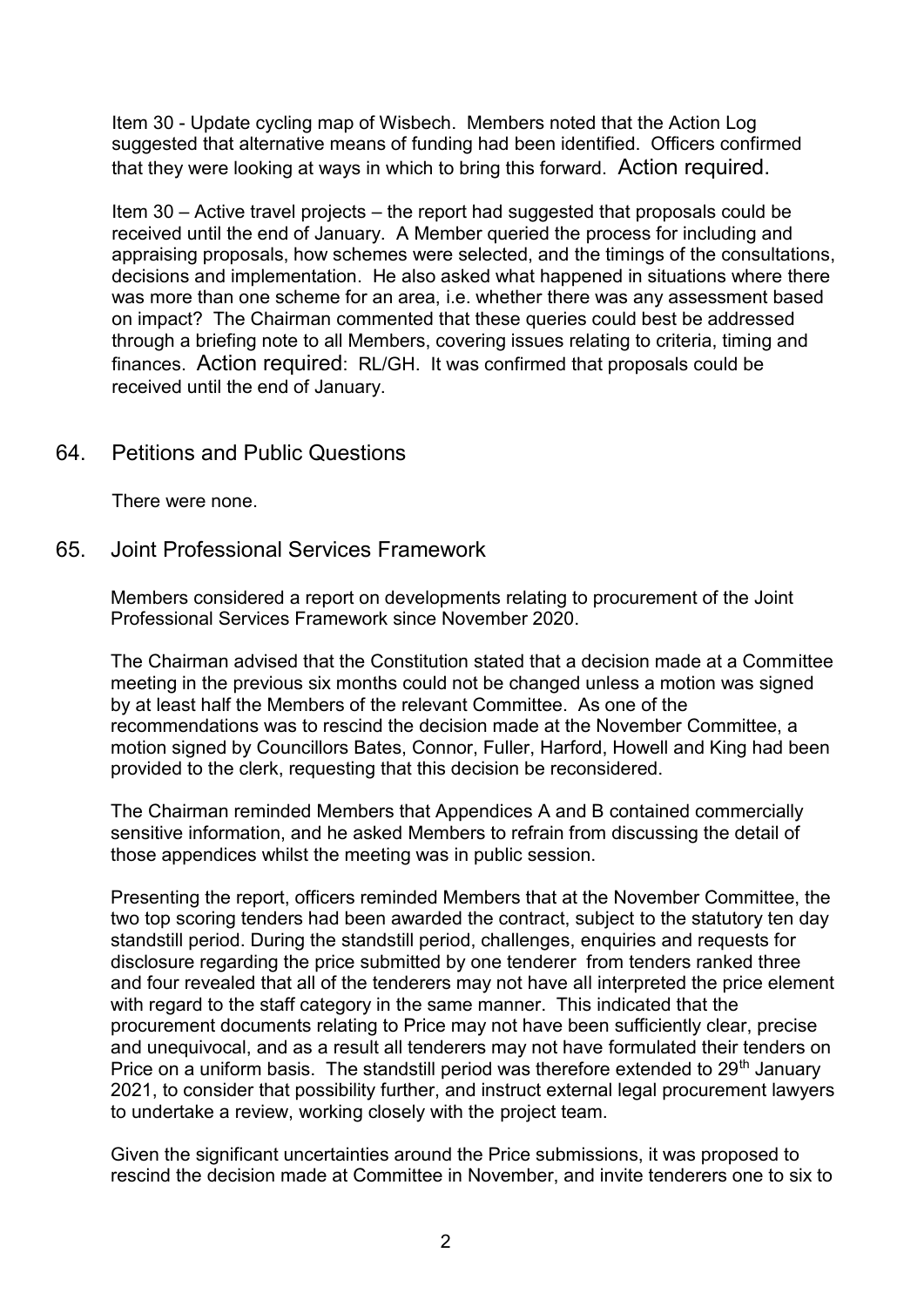Item 30 - Update cycling map of Wisbech. Members noted that the Action Log suggested that alternative means of funding had been identified. Officers confirmed that they were looking at ways in which to bring this forward. Action required.

Item 30 – Active travel projects – the report had suggested that proposals could be received until the end of January. A Member queried the process for including and appraising proposals, how schemes were selected, and the timings of the consultations, decisions and implementation. He also asked what happened in situations where there was more than one scheme for an area, i.e. whether there was any assessment based on impact? The Chairman commented that these queries could best be addressed through a briefing note to all Members, covering issues relating to criteria, timing and finances. Action required: RL/GH. It was confirmed that proposals could be received until the end of January.

## 64. Petitions and Public Questions

There were none.

#### 65. Joint Professional Services Framework

Members considered a report on developments relating to procurement of the Joint Professional Services Framework since November 2020.

The Chairman advised that the Constitution stated that a decision made at a Committee meeting in the previous six months could not be changed unless a motion was signed by at least half the Members of the relevant Committee. As one of the recommendations was to rescind the decision made at the November Committee, a motion signed by Councillors Bates, Connor, Fuller, Harford, Howell and King had been provided to the clerk, requesting that this decision be reconsidered.

The Chairman reminded Members that Appendices A and B contained commercially sensitive information, and he asked Members to refrain from discussing the detail of those appendices whilst the meeting was in public session.

Presenting the report, officers reminded Members that at the November Committee, the two top scoring tenders had been awarded the contract, subject to the statutory ten day standstill period. During the standstill period, challenges, enquiries and requests for disclosure regarding the price submitted by one tenderer from tenders ranked three and four revealed that all of the tenderers may not have all interpreted the price element with regard to the staff category in the same manner. This indicated that the procurement documents relating to Price may not have been sufficiently clear, precise and unequivocal, and as a result all tenderers may not have formulated their tenders on Price on a uniform basis. The standstill period was therefore extended to  $29<sup>th</sup>$  January 2021, to consider that possibility further, and instruct external legal procurement lawyers to undertake a review, working closely with the project team.

Given the significant uncertainties around the Price submissions, it was proposed to rescind the decision made at Committee in November, and invite tenderers one to six to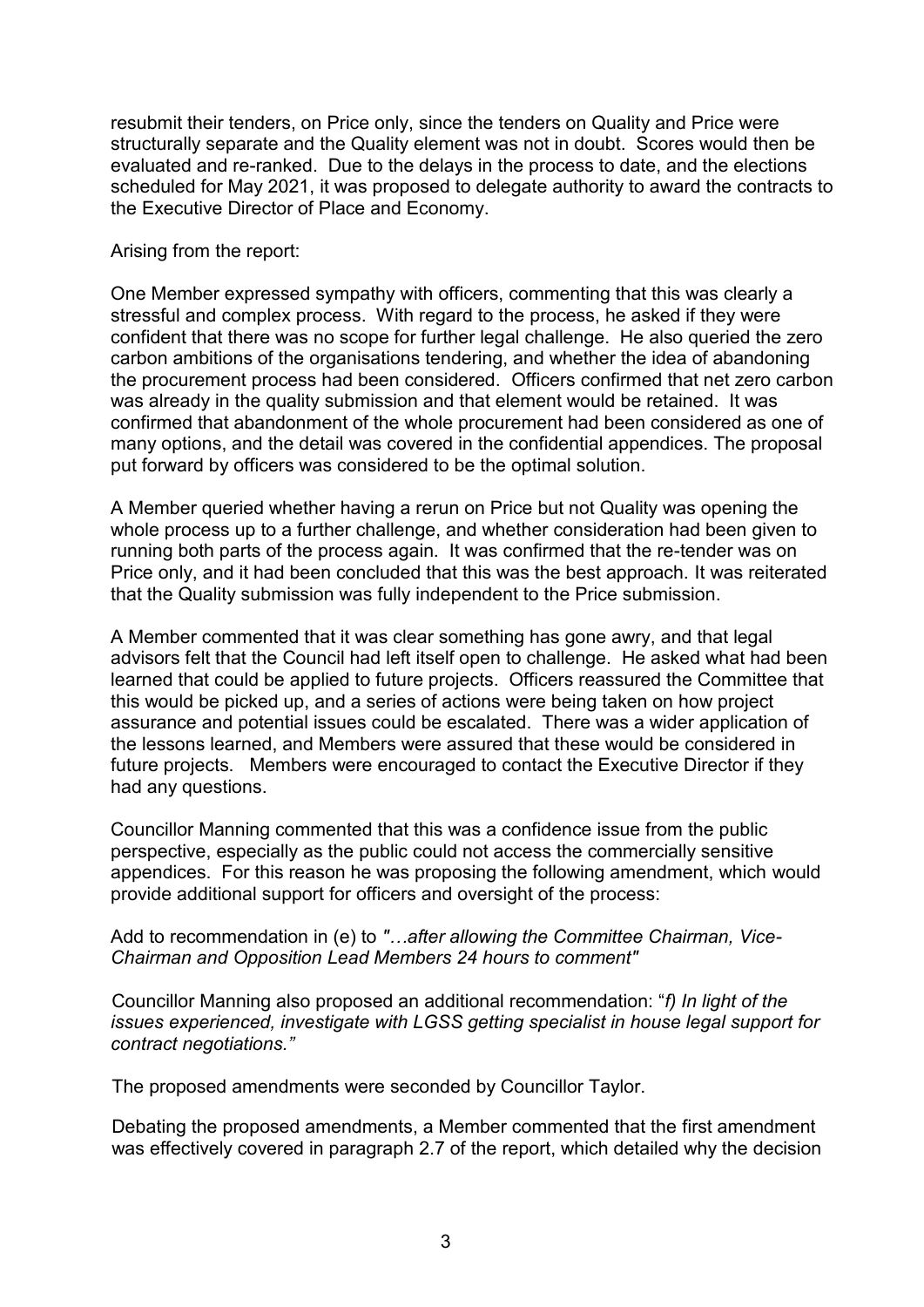resubmit their tenders, on Price only, since the tenders on Quality and Price were structurally separate and the Quality element was not in doubt. Scores would then be evaluated and re-ranked. Due to the delays in the process to date, and the elections scheduled for May 2021, it was proposed to delegate authority to award the contracts to the Executive Director of Place and Economy.

Arising from the report:

One Member expressed sympathy with officers, commenting that this was clearly a stressful and complex process. With regard to the process, he asked if they were confident that there was no scope for further legal challenge. He also queried the zero carbon ambitions of the organisations tendering, and whether the idea of abandoning the procurement process had been considered. Officers confirmed that net zero carbon was already in the quality submission and that element would be retained. It was confirmed that abandonment of the whole procurement had been considered as one of many options, and the detail was covered in the confidential appendices. The proposal put forward by officers was considered to be the optimal solution.

A Member queried whether having a rerun on Price but not Quality was opening the whole process up to a further challenge, and whether consideration had been given to running both parts of the process again. It was confirmed that the re-tender was on Price only, and it had been concluded that this was the best approach. It was reiterated that the Quality submission was fully independent to the Price submission.

A Member commented that it was clear something has gone awry, and that legal advisors felt that the Council had left itself open to challenge. He asked what had been learned that could be applied to future projects. Officers reassured the Committee that this would be picked up, and a series of actions were being taken on how project assurance and potential issues could be escalated. There was a wider application of the lessons learned, and Members were assured that these would be considered in future projects. Members were encouraged to contact the Executive Director if they had any questions.

Councillor Manning commented that this was a confidence issue from the public perspective, especially as the public could not access the commercially sensitive appendices. For this reason he was proposing the following amendment, which would provide additional support for officers and oversight of the process:

Add to recommendation in (e) to *"…after allowing the Committee Chairman, Vice-Chairman and Opposition Lead Members 24 hours to comment"* 

Councillor Manning also proposed an additional recommendation: "*f) In light of the issues experienced, investigate with LGSS getting specialist in house legal support for contract negotiations."*

The proposed amendments were seconded by Councillor Taylor.

Debating the proposed amendments, a Member commented that the first amendment was effectively covered in paragraph 2.7 of the report, which detailed why the decision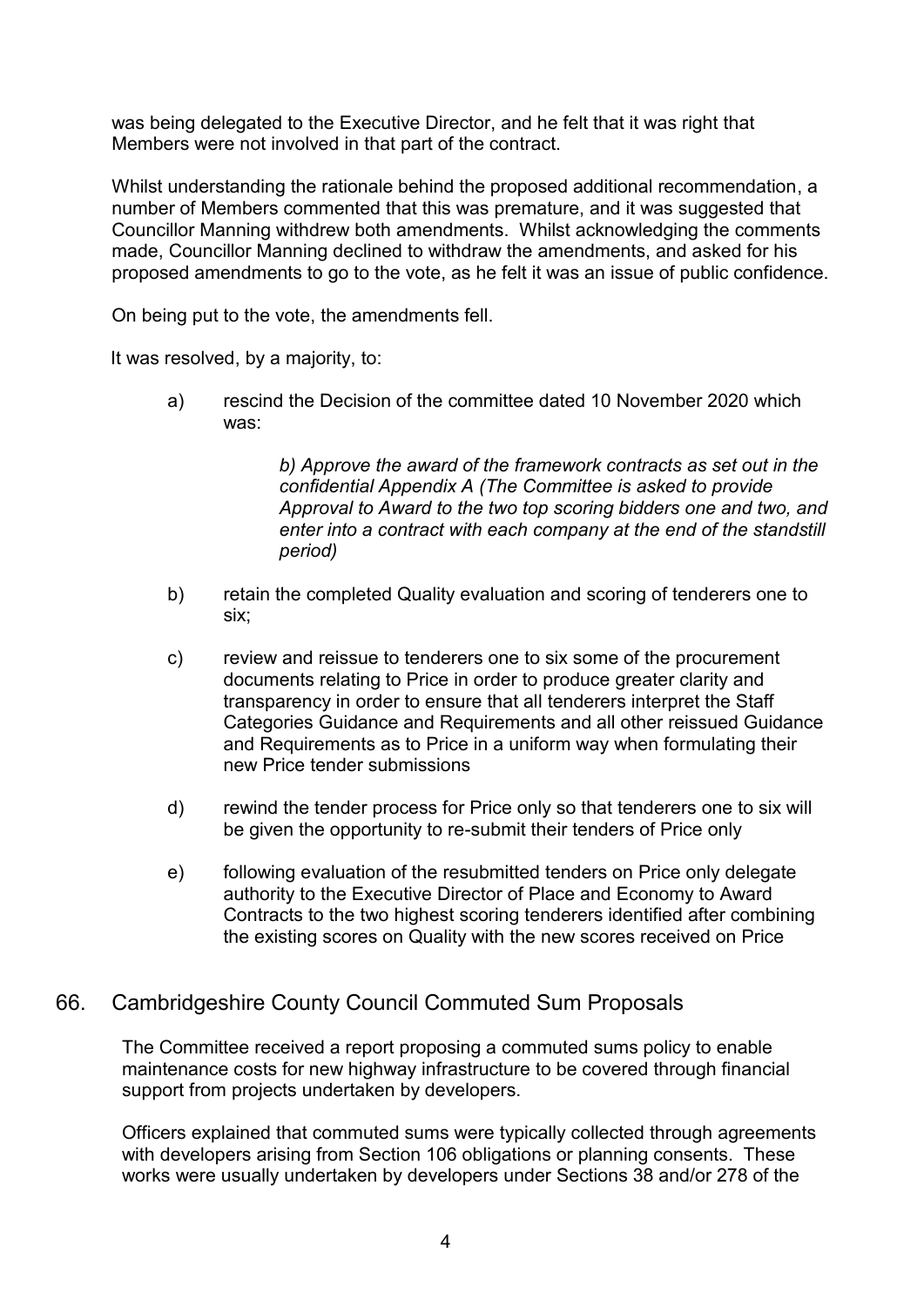was being delegated to the Executive Director, and he felt that it was right that Members were not involved in that part of the contract.

Whilst understanding the rationale behind the proposed additional recommendation, a number of Members commented that this was premature, and it was suggested that Councillor Manning withdrew both amendments. Whilst acknowledging the comments made, Councillor Manning declined to withdraw the amendments, and asked for his proposed amendments to go to the vote, as he felt it was an issue of public confidence.

On being put to the vote, the amendments fell.

It was resolved, by a majority, to:

a) rescind the Decision of the committee dated 10 November 2020 which was:

> *b) Approve the award of the framework contracts as set out in the confidential Appendix A (The Committee is asked to provide Approval to Award to the two top scoring bidders one and two, and enter into a contract with each company at the end of the standstill period)*

- b) retain the completed Quality evaluation and scoring of tenderers one to six;
- c) review and reissue to tenderers one to six some of the procurement documents relating to Price in order to produce greater clarity and transparency in order to ensure that all tenderers interpret the Staff Categories Guidance and Requirements and all other reissued Guidance and Requirements as to Price in a uniform way when formulating their new Price tender submissions
- d) rewind the tender process for Price only so that tenderers one to six will be given the opportunity to re-submit their tenders of Price only
- e) following evaluation of the resubmitted tenders on Price only delegate authority to the Executive Director of Place and Economy to Award Contracts to the two highest scoring tenderers identified after combining the existing scores on Quality with the new scores received on Price

#### 66. Cambridgeshire County Council Commuted Sum Proposals

The Committee received a report proposing a commuted sums policy to enable maintenance costs for new highway infrastructure to be covered through financial support from projects undertaken by developers.

Officers explained that commuted sums were typically collected through agreements with developers arising from Section 106 obligations or planning consents. These works were usually undertaken by developers under Sections 38 and/or 278 of the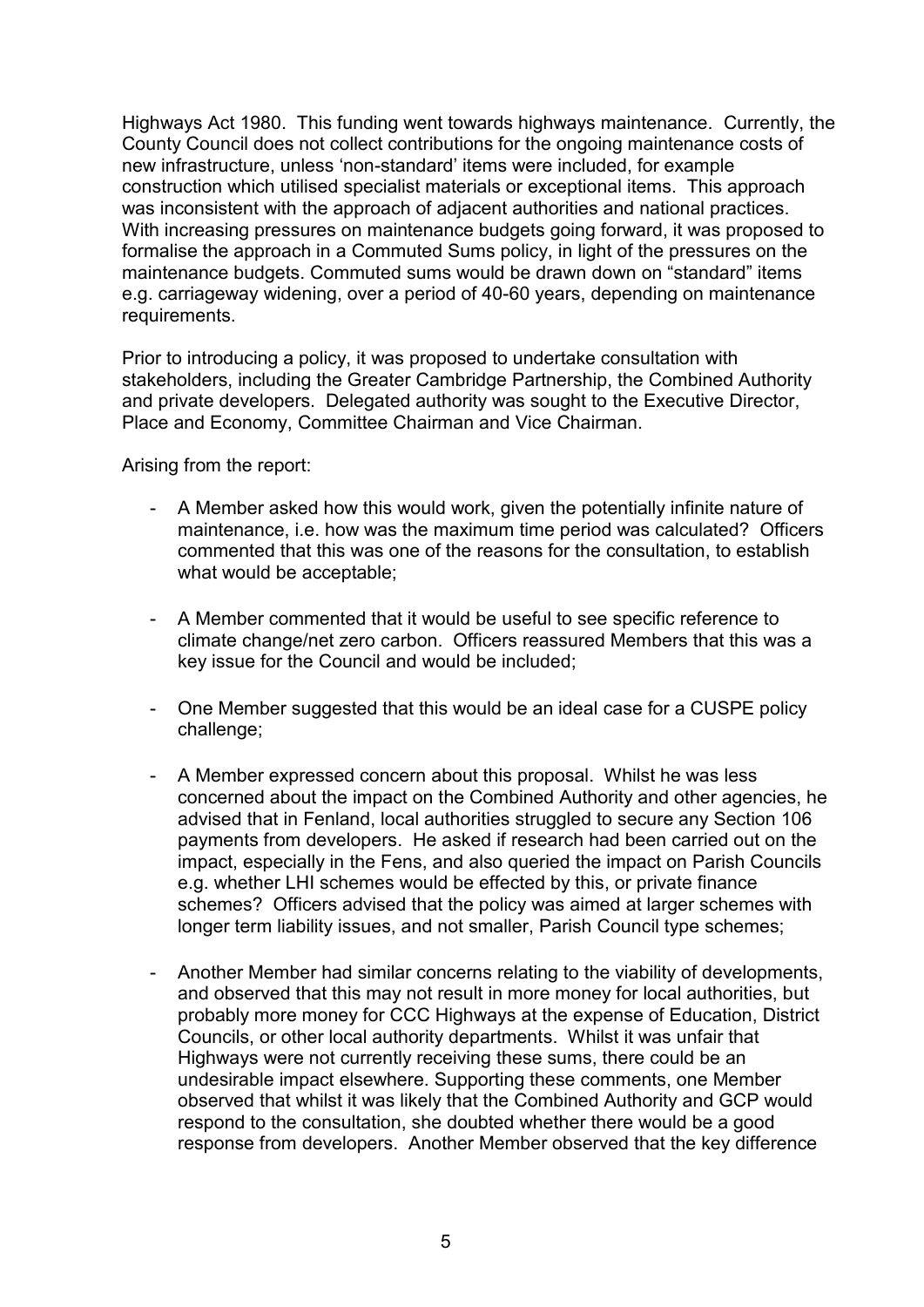Highways Act 1980. This funding went towards highways maintenance. Currently, the County Council does not collect contributions for the ongoing maintenance costs of new infrastructure, unless 'non-standard' items were included, for example construction which utilised specialist materials or exceptional items. This approach was inconsistent with the approach of adjacent authorities and national practices. With increasing pressures on maintenance budgets going forward, it was proposed to formalise the approach in a Commuted Sums policy, in light of the pressures on the maintenance budgets. Commuted sums would be drawn down on "standard" items e.g. carriageway widening, over a period of 40-60 years, depending on maintenance requirements.

Prior to introducing a policy, it was proposed to undertake consultation with stakeholders, including the Greater Cambridge Partnership, the Combined Authority and private developers. Delegated authority was sought to the Executive Director, Place and Economy, Committee Chairman and Vice Chairman.

Arising from the report:

- A Member asked how this would work, given the potentially infinite nature of maintenance, i.e. how was the maximum time period was calculated? Officers commented that this was one of the reasons for the consultation, to establish what would be acceptable;
- A Member commented that it would be useful to see specific reference to climate change/net zero carbon. Officers reassured Members that this was a key issue for the Council and would be included;
- One Member suggested that this would be an ideal case for a CUSPE policy challenge;
- A Member expressed concern about this proposal. Whilst he was less concerned about the impact on the Combined Authority and other agencies, he advised that in Fenland, local authorities struggled to secure any Section 106 payments from developers. He asked if research had been carried out on the impact, especially in the Fens, and also queried the impact on Parish Councils e.g. whether LHI schemes would be effected by this, or private finance schemes? Officers advised that the policy was aimed at larger schemes with longer term liability issues, and not smaller, Parish Council type schemes;
- Another Member had similar concerns relating to the viability of developments, and observed that this may not result in more money for local authorities, but probably more money for CCC Highways at the expense of Education, District Councils, or other local authority departments. Whilst it was unfair that Highways were not currently receiving these sums, there could be an undesirable impact elsewhere. Supporting these comments, one Member observed that whilst it was likely that the Combined Authority and GCP would respond to the consultation, she doubted whether there would be a good response from developers. Another Member observed that the key difference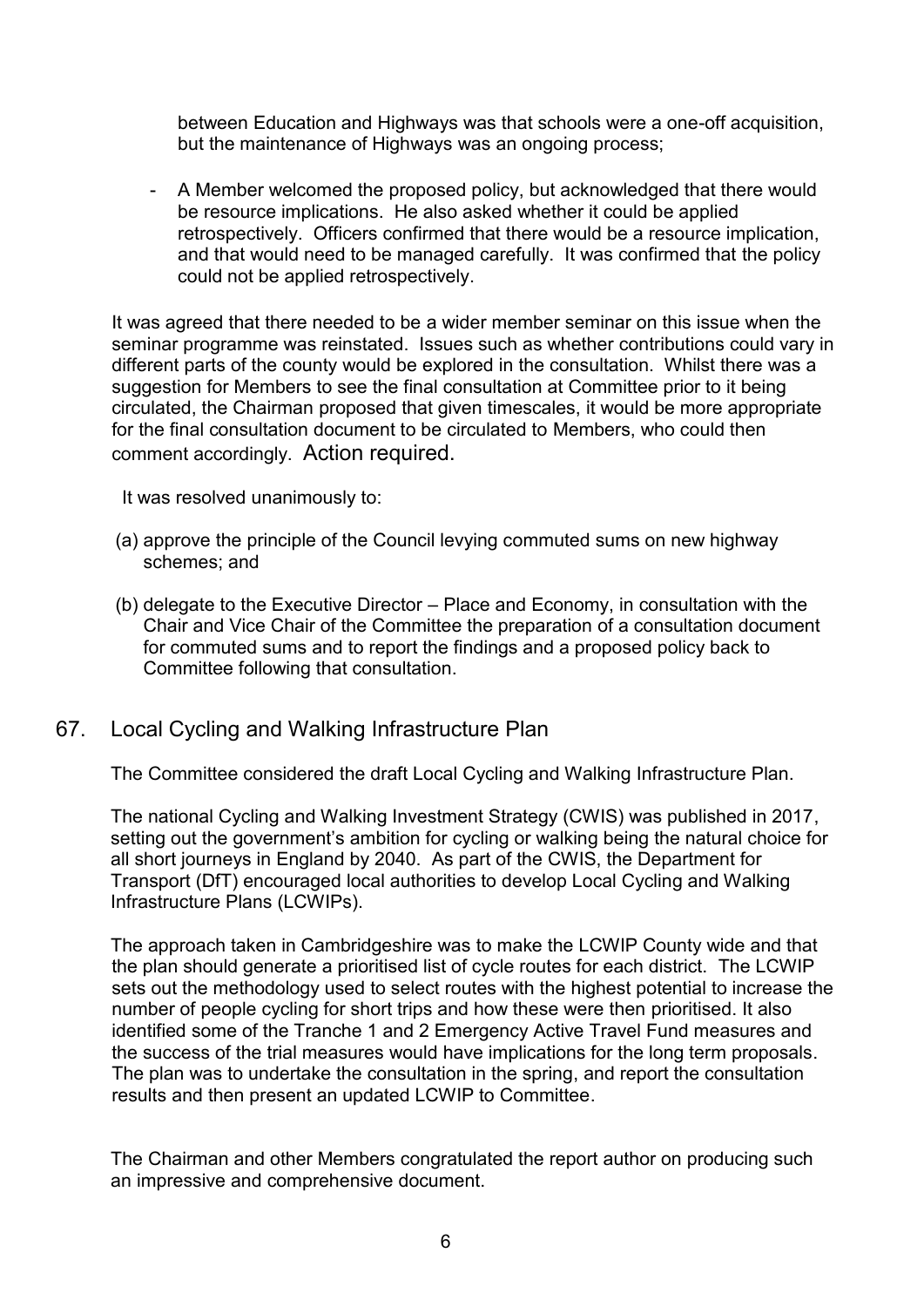between Education and Highways was that schools were a one-off acquisition, but the maintenance of Highways was an ongoing process;

- A Member welcomed the proposed policy, but acknowledged that there would be resource implications. He also asked whether it could be applied retrospectively. Officers confirmed that there would be a resource implication, and that would need to be managed carefully. It was confirmed that the policy could not be applied retrospectively.

It was agreed that there needed to be a wider member seminar on this issue when the seminar programme was reinstated. Issues such as whether contributions could vary in different parts of the county would be explored in the consultation. Whilst there was a suggestion for Members to see the final consultation at Committee prior to it being circulated, the Chairman proposed that given timescales, it would be more appropriate for the final consultation document to be circulated to Members, who could then comment accordingly. Action required.

It was resolved unanimously to:

- (a) approve the principle of the Council levying commuted sums on new highway schemes; and
- (b) delegate to the Executive Director Place and Economy, in consultation with the Chair and Vice Chair of the Committee the preparation of a consultation document for commuted sums and to report the findings and a proposed policy back to Committee following that consultation.

## 67. Local Cycling and Walking Infrastructure Plan

The Committee considered the draft Local Cycling and Walking Infrastructure Plan.

The national Cycling and Walking Investment Strategy (CWIS) was published in 2017, setting out the government's ambition for cycling or walking being the natural choice for all short journeys in England by 2040. As part of the CWIS, the Department for Transport (DfT) encouraged local authorities to develop Local Cycling and Walking Infrastructure Plans (LCWIPs).

The approach taken in Cambridgeshire was to make the LCWIP County wide and that the plan should generate a prioritised list of cycle routes for each district. The LCWIP sets out the methodology used to select routes with the highest potential to increase the number of people cycling for short trips and how these were then prioritised. It also identified some of the Tranche 1 and 2 Emergency Active Travel Fund measures and the success of the trial measures would have implications for the long term proposals. The plan was to undertake the consultation in the spring, and report the consultation results and then present an updated LCWIP to Committee.

The Chairman and other Members congratulated the report author on producing such an impressive and comprehensive document.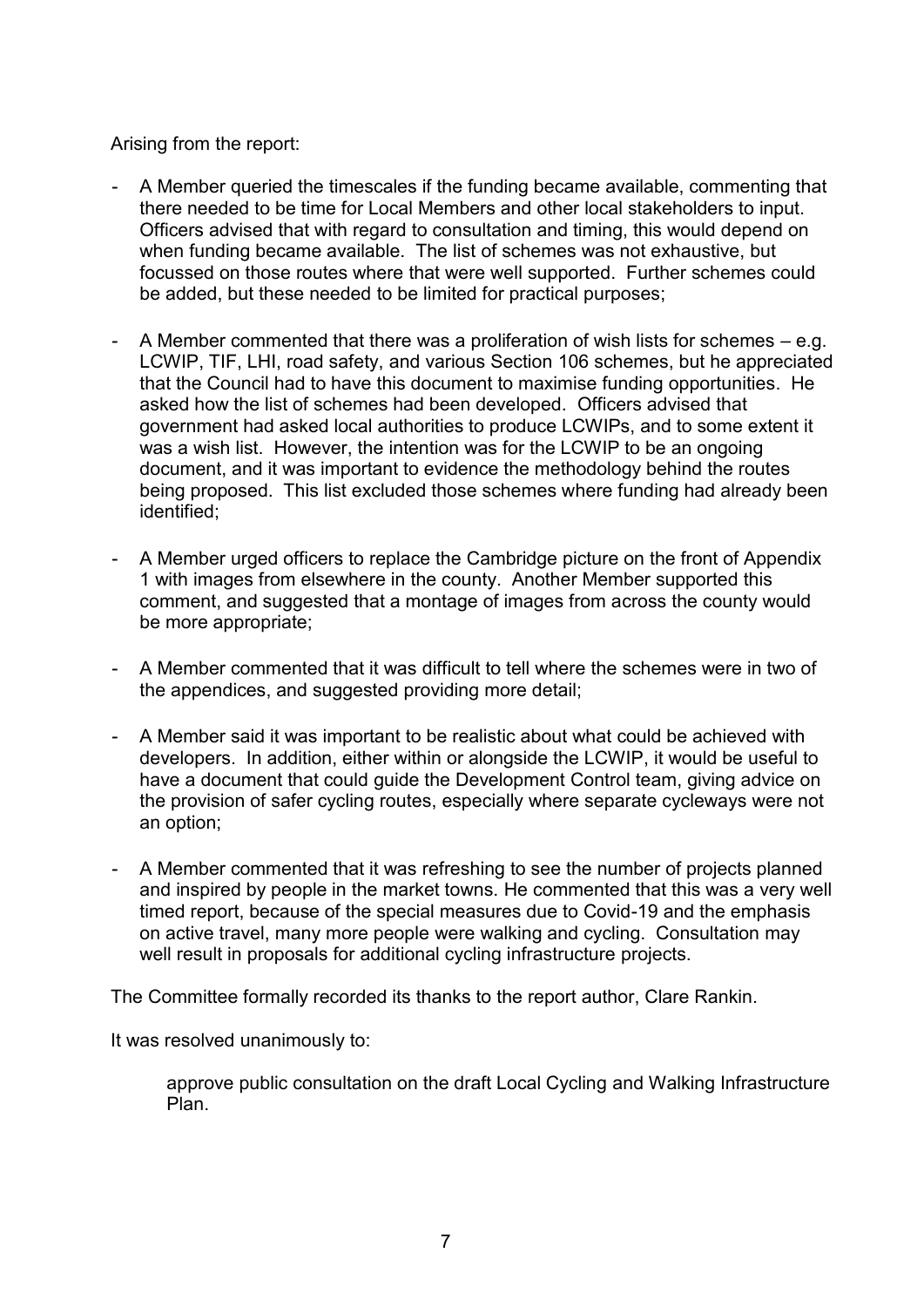Arising from the report:

- A Member queried the timescales if the funding became available, commenting that there needed to be time for Local Members and other local stakeholders to input. Officers advised that with regard to consultation and timing, this would depend on when funding became available. The list of schemes was not exhaustive, but focussed on those routes where that were well supported. Further schemes could be added, but these needed to be limited for practical purposes;
- A Member commented that there was a proliferation of wish lists for schemes e.g. LCWIP, TIF, LHI, road safety, and various Section 106 schemes, but he appreciated that the Council had to have this document to maximise funding opportunities. He asked how the list of schemes had been developed. Officers advised that government had asked local authorities to produce LCWIPs, and to some extent it was a wish list. However, the intention was for the LCWIP to be an ongoing document, and it was important to evidence the methodology behind the routes being proposed. This list excluded those schemes where funding had already been identified;
- A Member urged officers to replace the Cambridge picture on the front of Appendix 1 with images from elsewhere in the county. Another Member supported this comment, and suggested that a montage of images from across the county would be more appropriate;
- A Member commented that it was difficult to tell where the schemes were in two of the appendices, and suggested providing more detail;
- A Member said it was important to be realistic about what could be achieved with developers. In addition, either within or alongside the LCWIP, it would be useful to have a document that could guide the Development Control team, giving advice on the provision of safer cycling routes, especially where separate cycleways were not an option;
- A Member commented that it was refreshing to see the number of projects planned and inspired by people in the market towns. He commented that this was a very well timed report, because of the special measures due to Covid-19 and the emphasis on active travel, many more people were walking and cycling. Consultation may well result in proposals for additional cycling infrastructure projects.

The Committee formally recorded its thanks to the report author, Clare Rankin.

It was resolved unanimously to:

approve public consultation on the draft Local Cycling and Walking Infrastructure Plan.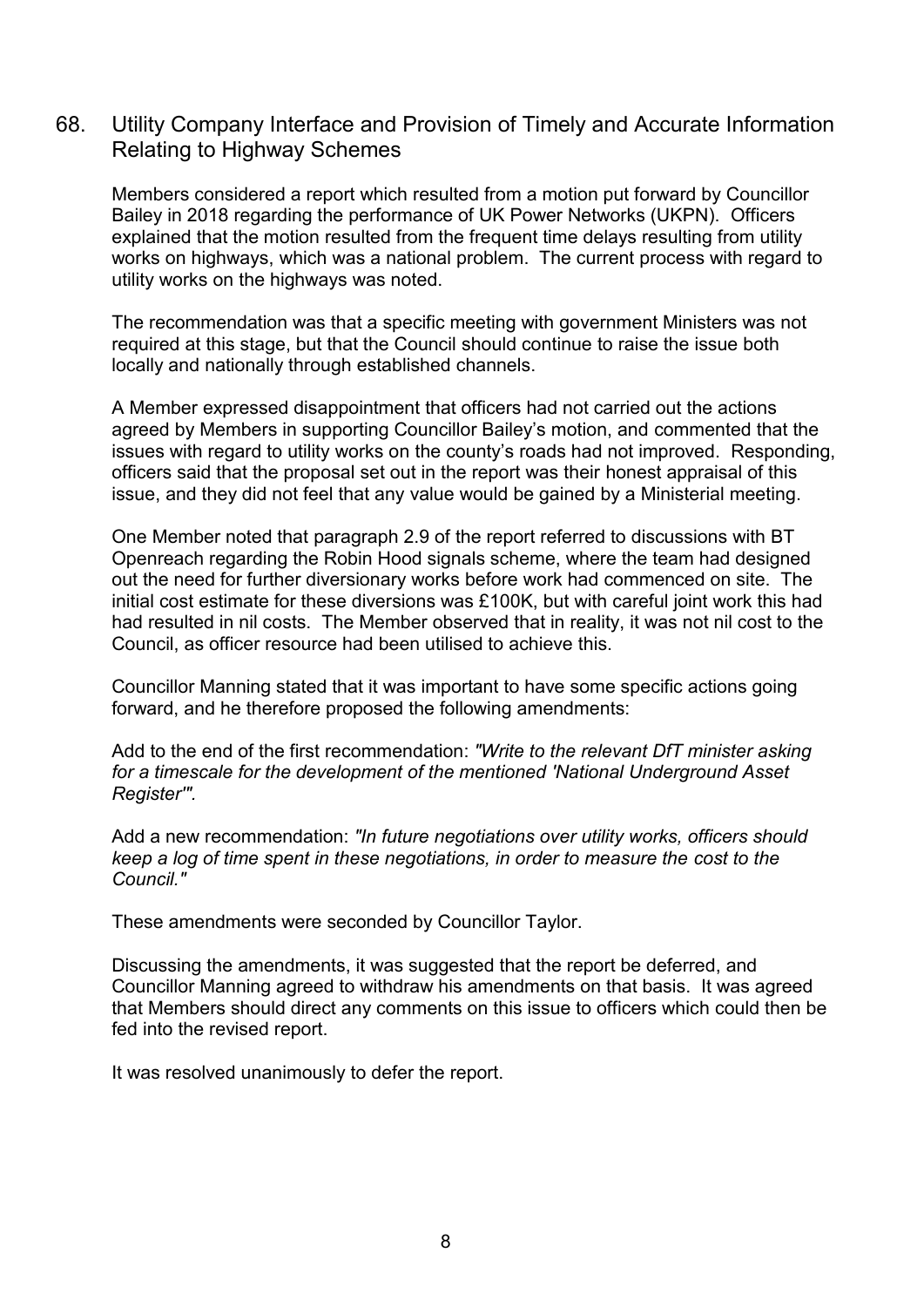## 68. Utility Company Interface and Provision of Timely and Accurate Information Relating to Highway Schemes

Members considered a report which resulted from a motion put forward by Councillor Bailey in 2018 regarding the performance of UK Power Networks (UKPN). Officers explained that the motion resulted from the frequent time delays resulting from utility works on highways, which was a national problem. The current process with regard to utility works on the highways was noted.

The recommendation was that a specific meeting with government Ministers was not required at this stage, but that the Council should continue to raise the issue both locally and nationally through established channels.

A Member expressed disappointment that officers had not carried out the actions agreed by Members in supporting Councillor Bailey's motion, and commented that the issues with regard to utility works on the county's roads had not improved. Responding, officers said that the proposal set out in the report was their honest appraisal of this issue, and they did not feel that any value would be gained by a Ministerial meeting.

One Member noted that paragraph 2.9 of the report referred to discussions with BT Openreach regarding the Robin Hood signals scheme, where the team had designed out the need for further diversionary works before work had commenced on site. The initial cost estimate for these diversions was £100K, but with careful joint work this had had resulted in nil costs. The Member observed that in reality, it was not nil cost to the Council, as officer resource had been utilised to achieve this.

Councillor Manning stated that it was important to have some specific actions going forward, and he therefore proposed the following amendments:

Add to the end of the first recommendation: *"Write to the relevant DfT minister asking for a timescale for the development of the mentioned 'National Underground Asset Register'".* 

Add a new recommendation: *"In future negotiations over utility works, officers should keep a log of time spent in these negotiations, in order to measure the cost to the Council."* 

These amendments were seconded by Councillor Taylor.

Discussing the amendments, it was suggested that the report be deferred, and Councillor Manning agreed to withdraw his amendments on that basis. It was agreed that Members should direct any comments on this issue to officers which could then be fed into the revised report.

It was resolved unanimously to defer the report.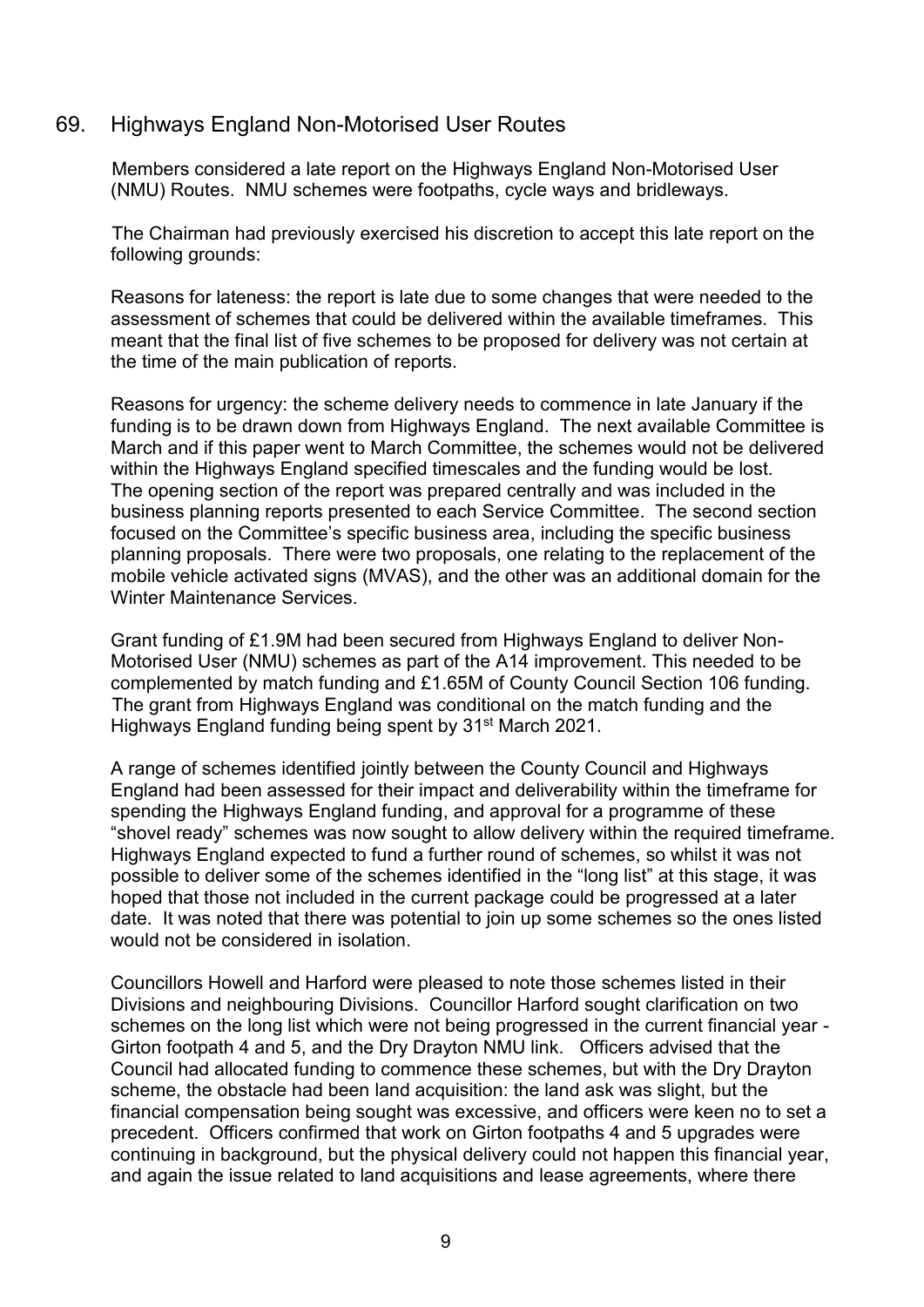### 69. Highways England Non-Motorised User Routes

Members considered a late report on the Highways England Non-Motorised User (NMU) Routes. NMU schemes were footpaths, cycle ways and bridleways.

The Chairman had previously exercised his discretion to accept this late report on the following grounds:

Reasons for lateness: the report is late due to some changes that were needed to the assessment of schemes that could be delivered within the available timeframes. This meant that the final list of five schemes to be proposed for delivery was not certain at the time of the main publication of reports.

Reasons for urgency: the scheme delivery needs to commence in late January if the funding is to be drawn down from Highways England. The next available Committee is March and if this paper went to March Committee, the schemes would not be delivered within the Highways England specified timescales and the funding would be lost. The opening section of the report was prepared centrally and was included in the business planning reports presented to each Service Committee. The second section focused on the Committee's specific business area, including the specific business planning proposals. There were two proposals, one relating to the replacement of the mobile vehicle activated signs (MVAS), and the other was an additional domain for the Winter Maintenance Services.

Grant funding of £1.9M had been secured from Highways England to deliver Non-Motorised User (NMU) schemes as part of the A14 improvement. This needed to be complemented by match funding and £1.65M of County Council Section 106 funding. The grant from Highways England was conditional on the match funding and the Highways England funding being spent by 31<sup>st</sup> March 2021.

A range of schemes identified jointly between the County Council and Highways England had been assessed for their impact and deliverability within the timeframe for spending the Highways England funding, and approval for a programme of these "shovel ready" schemes was now sought to allow delivery within the required timeframe. Highways England expected to fund a further round of schemes, so whilst it was not possible to deliver some of the schemes identified in the "long list" at this stage, it was hoped that those not included in the current package could be progressed at a later date. It was noted that there was potential to join up some schemes so the ones listed would not be considered in isolation.

Councillors Howell and Harford were pleased to note those schemes listed in their Divisions and neighbouring Divisions. Councillor Harford sought clarification on two schemes on the long list which were not being progressed in the current financial year - Girton footpath 4 and 5, and the Dry Drayton NMU link. Officers advised that the Council had allocated funding to commence these schemes, but with the Dry Drayton scheme, the obstacle had been land acquisition: the land ask was slight, but the financial compensation being sought was excessive, and officers were keen no to set a precedent. Officers confirmed that work on Girton footpaths 4 and 5 upgrades were continuing in background, but the physical delivery could not happen this financial year, and again the issue related to land acquisitions and lease agreements, where there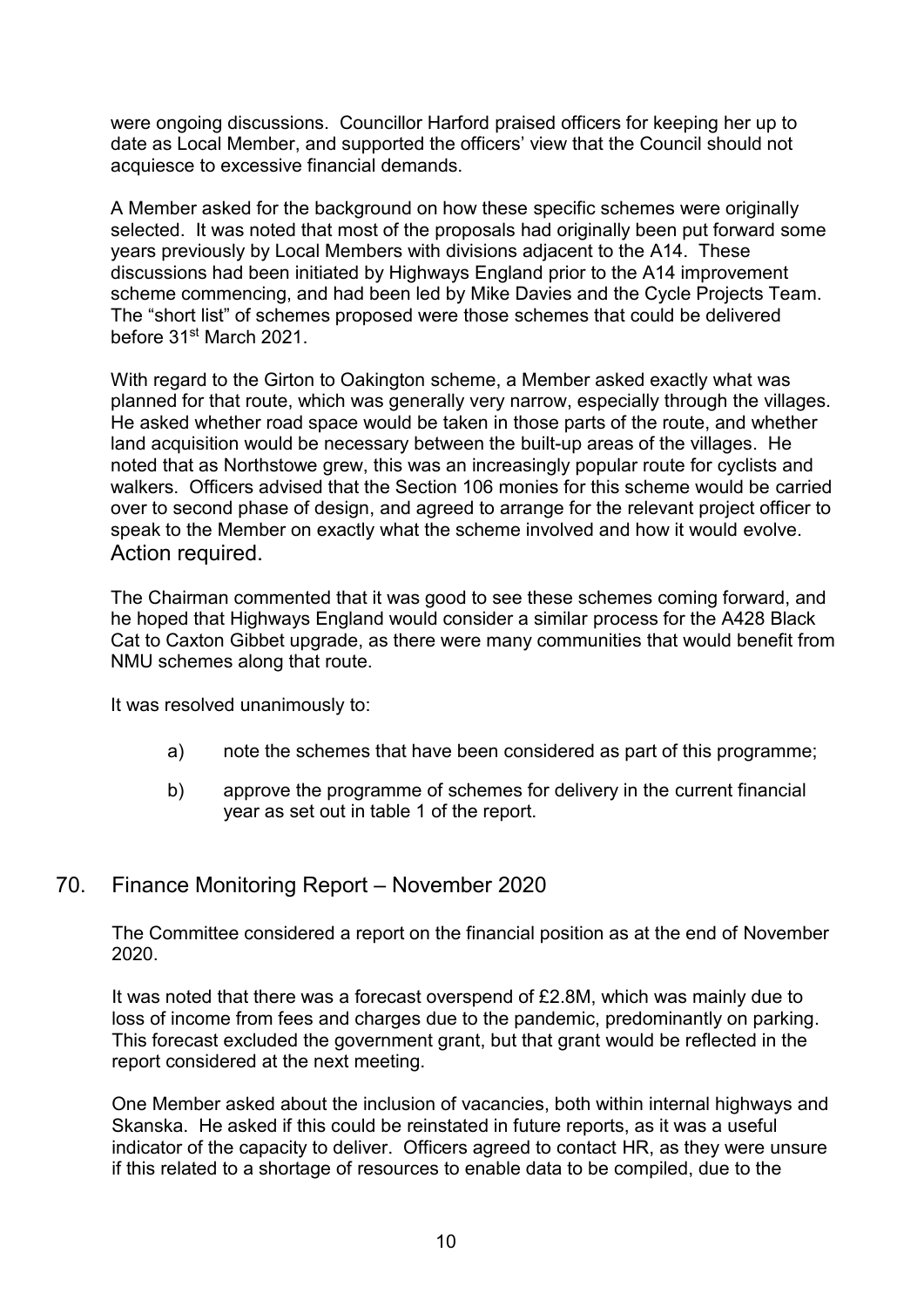were ongoing discussions. Councillor Harford praised officers for keeping her up to date as Local Member, and supported the officers' view that the Council should not acquiesce to excessive financial demands.

A Member asked for the background on how these specific schemes were originally selected. It was noted that most of the proposals had originally been put forward some years previously by Local Members with divisions adjacent to the A14. These discussions had been initiated by Highways England prior to the A14 improvement scheme commencing, and had been led by Mike Davies and the Cycle Projects Team. The "short list" of schemes proposed were those schemes that could be delivered before 31<sup>st</sup> March 2021

With regard to the Girton to Oakington scheme, a Member asked exactly what was planned for that route, which was generally very narrow, especially through the villages. He asked whether road space would be taken in those parts of the route, and whether land acquisition would be necessary between the built-up areas of the villages. He noted that as Northstowe grew, this was an increasingly popular route for cyclists and walkers. Officers advised that the Section 106 monies for this scheme would be carried over to second phase of design, and agreed to arrange for the relevant project officer to speak to the Member on exactly what the scheme involved and how it would evolve. Action required.

The Chairman commented that it was good to see these schemes coming forward, and he hoped that Highways England would consider a similar process for the A428 Black Cat to Caxton Gibbet upgrade, as there were many communities that would benefit from NMU schemes along that route.

It was resolved unanimously to:

- a) note the schemes that have been considered as part of this programme;
- b) approve the programme of schemes for delivery in the current financial year as set out in table 1 of the report.

## 70. Finance Monitoring Report – November 2020

The Committee considered a report on the financial position as at the end of November 2020.

It was noted that there was a forecast overspend of £2.8M, which was mainly due to loss of income from fees and charges due to the pandemic, predominantly on parking. This forecast excluded the government grant, but that grant would be reflected in the report considered at the next meeting.

One Member asked about the inclusion of vacancies, both within internal highways and Skanska. He asked if this could be reinstated in future reports, as it was a useful indicator of the capacity to deliver. Officers agreed to contact HR, as they were unsure if this related to a shortage of resources to enable data to be compiled, due to the